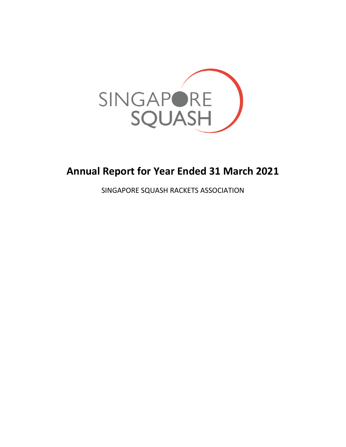

# **Annual Report for Year Ended 31 March 2021**

SINGAPORE SQUASH RACKETS ASSOCIATION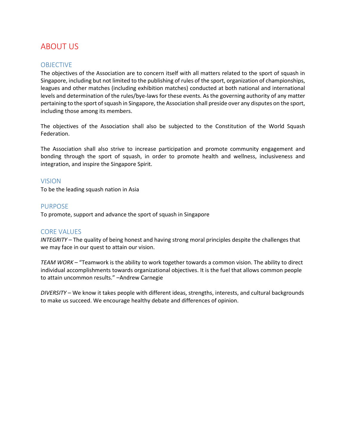## ABOUT US

## OBJECTIVE

The objectives of the Association are to concern itself with all matters related to the sport of squash in Singapore, including but not limited to the publishing of rules of the sport, organization of championships, leagues and other matches (including exhibition matches) conducted at both national and international levels and determination of the rules/bye-laws for these events. As the governing authority of any matter pertaining to the sport of squash in Singapore, the Association shall preside over any disputes on the sport, including those among its members.

The objectives of the Association shall also be subjected to the Constitution of the World Squash Federation.

The Association shall also strive to increase participation and promote community engagement and bonding through the sport of squash, in order to promote health and wellness, inclusiveness and integration, and inspire the Singapore Spirit.

#### VISION

To be the leading squash nation in Asia

#### PURPOSE

To promote, support and advance the sport of squash in Singapore

### CORE VALUES

*INTEGRITY* – The quality of being honest and having strong moral principles despite the challenges that we may face in our quest to attain our vision.

*TEAM WORK* – "Teamwork is the ability to work together towards a common vision. The ability to direct individual accomplishments towards organizational objectives. It is the fuel that allows common people to attain uncommon results." –Andrew Carnegie

*DIVERSITY* – We know it takes people with different ideas, strengths, interests, and cultural backgrounds to make us succeed. We encourage healthy debate and differences of opinion.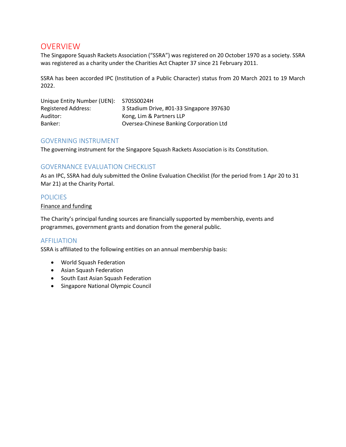## OVERVIEW

The Singapore Squash Rackets Association ("SSRA") was registered on 20 October 1970 as a society. SSRA was registered as a charity under the Charities Act Chapter 37 since 21 February 2011.

SSRA has been accorded IPC (Institution of a Public Character) status from 20 March 2021 to 19 March 2022.

| Unique Entity Number (UEN): | S70SS0024H                               |
|-----------------------------|------------------------------------------|
| Registered Address:         | 3 Stadium Drive, #01-33 Singapore 397630 |
| Auditor:                    | Kong, Lim & Partners LLP                 |
| Banker:                     | Oversea-Chinese Banking Corporation Ltd  |

### GOVERNING INSTRUMENT

The governing instrument for the Singapore Squash Rackets Association is its Constitution.

## GOVERNANCE EVALUATION CHECKLIST

As an IPC, SSRA had duly submitted the Online Evaluation Checklist (for the period from 1 Apr 20 to 31 Mar 21) at the Charity Portal.

#### **POLICIES**

Finance and funding

The Charity's principal funding sources are financially supported by membership, events and programmes, government grants and donation from the general public.

### AFFILIATION

SSRA is affiliated to the following entities on an annual membership basis:

- World Squash Federation
- Asian Squash Federation
- South East Asian Squash Federation
- Singapore National Olympic Council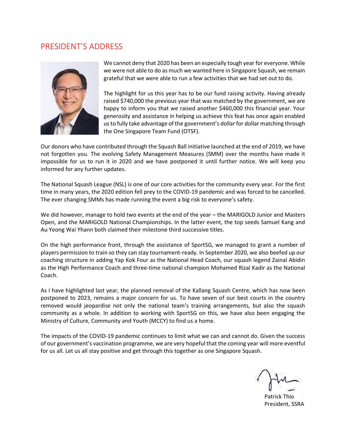## PRESIDENT'S ADDRESS



We cannot deny that 2020 has been an especially tough year for everyone. While we were not able to do as much we wanted here in Singapore Squash, we remain grateful that we were able to run a few activities that we had set out to do.

The highlight for us this year has to be our fund raising activity. Having already raised \$740,000 the previous year that was matched by the government, we are happy to inform you that we raised another \$460,000 this financial year. Your generosity and assistance in helping us achieve this feat has once again enabled us to fully take advantage of the government's dollar for dollar matching through the One Singapore Team Fund (OTSF).

Our donors who have contributed through the Squash Ball initiative launched at the end of 2019, we have not forgotten you. The evolving Safety Management Measures (SMM) over the months have made it impossible for us to run it in 2020 and we have postponed it until further notice. We will keep you informed for any further updates.

The National Squash League (NSL) is one of our core activities for the community every year. For the first time in many years, the 2020 edition fell prey to the COVID-19 pandemic and was forced to be cancelled. The ever changing SMMs has made running the event a big risk to everyone's safety.

We did however, manage to hold two events at the end of the year – the MARIGOLD Junior and Masters Open, and the MARIGOLD National Championships. In the latter event, the top seeds Samuel Kang and Au Yeong Wai Yhann both claimed their milestone third successive titles.

On the high performance front, through the assistance of SportSG, we managed to grant a number of players permission to train so they can stay tournament-ready. In September 2020, we also beefed up our coaching structure in adding Yap Kok Four as the National Head Coach, our squash legend Zainal Abidin as the High Performance Coach and three-time national champion Mohamed Rizal Kadir as the National Coach.

As I have highlighted last year, the planned removal of the Kallang Squash Centre, which has now been postponed to 2023, remains a major concern for us. To have seven of our best courts in the country removed would jeopardise not only the national team's training arrangements, but also the squash community as a whole. In addition to working with SportSG on this, we have also been engaging the Ministry of Culture, Community and Youth (MCCY) to find us a home.

The impacts of the COVID-19 pandemic continues to limit what we can and cannot do. Given the success of our government's vaccination programme, we are very hopeful that the coming year will more eventful for us all. Let us all stay positive and get through this together as one Singapore Squash.

Patrick Thio President, SSRA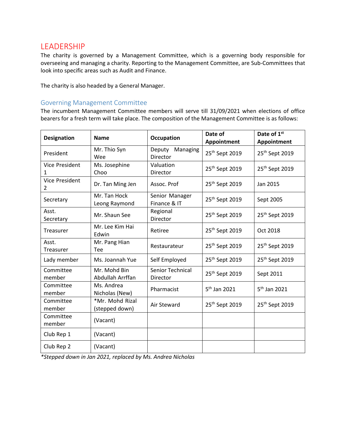## LEADERSHIP

The charity is governed by a Management Committee, which is a governing body responsible for overseeing and managing a charity. Reporting to the Management Committee, are Sub-Committees that look into specific areas such as Audit and Finance.

The charity is also headed by a General Manager.

#### Governing Management Committee

The incumbent Management Committee members will serve till 31/09/2021 when elections of office bearers for a fresh term will take place. The composition of the Management Committee is as follows:

| <b>Designation</b>         | <b>Name</b>                       | <b>Occupation</b>              | Date of<br>Appointment     | Date of 1st<br>Appointment |
|----------------------------|-----------------------------------|--------------------------------|----------------------------|----------------------------|
| President                  | Mr. Thio Syn<br>Wee               | Deputy Managing<br>Director    | 25 <sup>th</sup> Sept 2019 | 25 <sup>th</sup> Sept 2019 |
| <b>Vice President</b><br>1 | Ms. Josephine<br>Choo             | Valuation<br>Director          | 25 <sup>th</sup> Sept 2019 | 25 <sup>th</sup> Sept 2019 |
| <b>Vice President</b><br>2 | Dr. Tan Ming Jen                  | Assoc. Prof                    | 25 <sup>th</sup> Sept 2019 | Jan 2015                   |
| Secretary                  | Mr. Tan Hock<br>Leong Raymond     | Senior Manager<br>Finance & IT | 25 <sup>th</sup> Sept 2019 | Sept 2005                  |
| Asst.<br>Secretary         | Mr. Shaun See                     | Regional<br>Director           | 25 <sup>th</sup> Sept 2019 | 25 <sup>th</sup> Sept 2019 |
| Treasurer                  | Mr. Lee Kim Hai<br>Edwin          | Retiree                        | 25 <sup>th</sup> Sept 2019 | Oct 2018                   |
| Asst.<br><b>Treasurer</b>  | Mr. Pang Hian<br>Tee              | Restaurateur                   | 25 <sup>th</sup> Sept 2019 | 25 <sup>th</sup> Sept 2019 |
| Lady member                | Ms. Joannah Yue                   | Self Employed                  | 25 <sup>th</sup> Sept 2019 | 25 <sup>th</sup> Sept 2019 |
| Committee<br>member        | Mr. Mohd Bin<br>Abdullah Arrffan  | Senior Technical<br>Director   | 25 <sup>th</sup> Sept 2019 | Sept 2011                  |
| Committee<br>member        | Ms. Andrea<br>Nicholas (New)      | Pharmacist                     | 5 <sup>th</sup> Jan 2021   | 5 <sup>th</sup> Jan 2021   |
| Committee<br>member        | *Mr. Mohd Rizal<br>(stepped down) | Air Steward                    | 25 <sup>th</sup> Sept 2019 | 25 <sup>th</sup> Sept 2019 |
| Committee<br>member        | (Vacant)                          |                                |                            |                            |
| Club Rep 1                 | (Vacant)                          |                                |                            |                            |
| Club Rep 2                 | (Vacant)                          |                                |                            |                            |

*\*Stepped down in Jan 2021, replaced by Ms. Andrea Nicholas*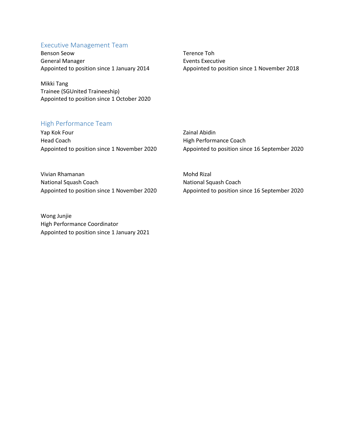#### Executive Management Team

Benson Seow Terence Toh General Manager **Events Executive** Events Executive

Mikki Tang Trainee (SGUnited Traineeship) Appointed to position since 1 October 2020

## High Performance Team

Yap Kok Four **Zainal Abidin** Head Coach **High Performance Coach** Appointed to position since 1 November 2020 Appointed to position since 16 September 2020

Appointed to position since 1 January 2014 Appointed to position since 1 November 2018

Vivian Rhamanan Mohd Rizal National Squash Coach National Squash Coach Appointed to position since 1 November 2020 Appointed to position since 16 September 2020

Wong Junjie High Performance Coordinator Appointed to position since 1 January 2021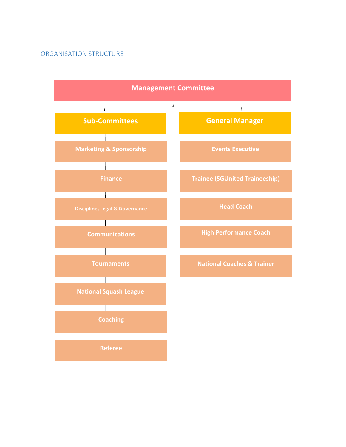## ORGANISATION STRUCTURE

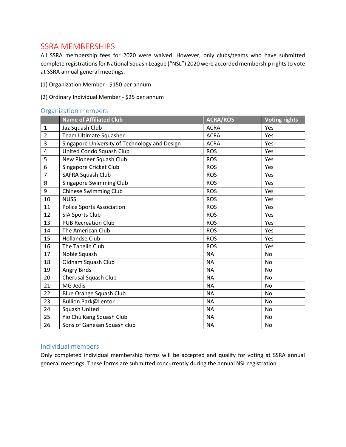## SSRA MEMBERSHIPS

All SSRA membership fees for 2020 were waived. However, only clubs/teams who have submitted complete registrations for National Squash League ("NSL") 2020 were accorded membership rights to vote at SSRA annual general meetings.

- (1) Organization Member \$150 per annum
- (2) Ordinary Individual Member \$25 per annum

#### Organization members

|                | <b>Name of Affiliated Club</b>                | <b>ACRA/ROS</b> | <b>Voting rights</b> |
|----------------|-----------------------------------------------|-----------------|----------------------|
| $\mathbf{1}$   | Jaz Squash Club                               | <b>ACRA</b>     | Yes                  |
| $\overline{2}$ | Team Ultimate Squasher                        | <b>ACRA</b>     | <b>Yes</b>           |
| 3              | Singapore University of Technology and Design | <b>ACRA</b>     | Yes                  |
| 4              | United Condo Squash Club                      | <b>ROS</b>      | Yes                  |
| 5              | New Pioneer Squash Club                       | <b>ROS</b>      | Yes                  |
| 6              | Singapore Cricket Club                        | <b>ROS</b>      | Yes                  |
| $\overline{7}$ | <b>SAFRA Squash Club</b>                      | <b>ROS</b>      | Yes                  |
| 8              | Singapore Swimming Club                       | <b>ROS</b>      | Yes                  |
| 9              | <b>Chinese Swimming Club</b>                  | <b>ROS</b>      | Yes                  |
| 10             | <b>NUSS</b>                                   | <b>ROS</b>      | Yes                  |
| 11             | <b>Police Sports Association</b>              | <b>ROS</b>      | Yes                  |
| 12             | SIA Sports Club                               | <b>ROS</b>      | Yes                  |
| 13             | <b>PUB Recreation Club</b>                    | <b>ROS</b>      | Yes                  |
| 14             | The American Club                             | <b>ROS</b>      | Yes                  |
| 15             | <b>Hollandse Club</b>                         | <b>ROS</b>      | Yes                  |
| 16             | The Tanglin Club                              | <b>ROS</b>      | Yes                  |
| 17             | Noble Squash                                  | <b>NA</b>       | No                   |
| 18             | Oldham Squash Club                            | <b>NA</b>       | No                   |
| 19             | Angry Birds                                   | <b>NA</b>       | No                   |
| 20             | Cherusal Squash Club                          | <b>NA</b>       | No                   |
| 21             | MG Jedis                                      | <b>NA</b>       | <b>No</b>            |
| 22             | <b>Blue Orange Squash Club</b>                | <b>NA</b>       | N <sub>o</sub>       |
| 23             | Bullion Park@Lentor                           | <b>NA</b>       | No                   |
| 24             | <b>Squash United</b>                          | <b>NA</b>       | No                   |
| 25             | Yio Chu Kang Squash Club                      | <b>NA</b>       | No                   |
| 26             | Sons of Ganesan Squash club                   | <b>NA</b>       | No                   |

## Individual members

Only completed individual membership forms will be accepted and qualify for voting at SSRA annual general meetings. These forms are submitted concurrently during the annual NSL registration.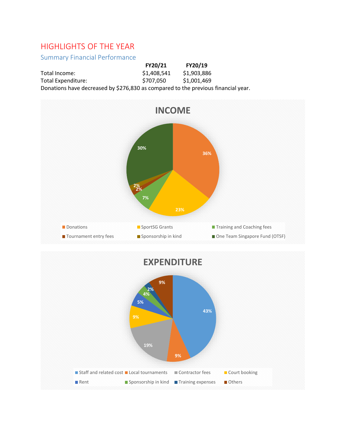## HIGHLIGHTS OF THE YEAR

## Summary Financial Performance

|                                                                                   | FY20/21     | FY20/19     |
|-----------------------------------------------------------------------------------|-------------|-------------|
| Total Income:                                                                     | \$1,408,541 | \$1,903,886 |
| Total Expenditure:                                                                | \$707.050   | \$1,001,469 |
| Donations have decreased by \$276,830 as compared to the previous financial year. |             |             |



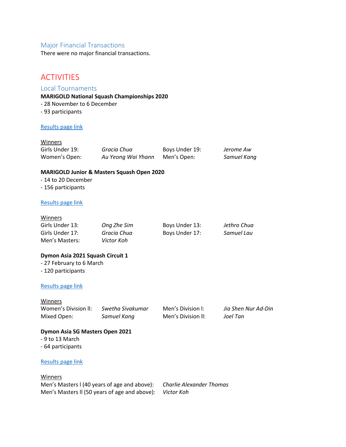### Major Financial Transactions

There were no major financial transactions.

## **ACTIVITIES**

#### Local Tournaments

#### **MARIGOLD National Squash Championships 2020**

- 28 November to 6 December
- 93 participants

#### [Results page](https://www.tournamentsoftware.com/sport/tournament?id=5E2B08BF-232A-4687-97B7-877F5BA892C0) link

#### Winners

| Girls Under 19: | Gracia Chua        | Boys Under 19: | Jerome Aw   |
|-----------------|--------------------|----------------|-------------|
| Women's Open:   | Au Yeong Wai Yhann | Men's Open:    | Samuel Kang |

#### **MARIGOLD Junior & Masters Squash Open 2020**

- 14 to 20 December

- 156 participants

#### [Results page](https://www.tournamentsoftware.com/sport/tournament?id=7AC1C34A-7433-4AB8-A983-45D91CE96334) link

#### Winners

| Girls Under 13: | Ong Zhe Sim | Boys Under 13: | Jethro Chua |
|-----------------|-------------|----------------|-------------|
| Girls Under 17: | Gracia Chua | Boys Under 17: | Samuel Lau  |
| Men's Masters:  | Victor Koh  |                |             |

#### **Dymon Asia 2021 Squash Circuit 1**

- 27 February to 6 March

- 120 participants

#### [Results page](https://www.tournamentsoftware.com/sport/tournament?id=4B54D4A7-175B-44E2-9D29-B23656766989) link

**Winners** 

Mixed Open: *Samuel Kang* Men's Division ll: *Joel Tan*

Women's Division ll: *Swetha Sivakumar* Men's Division l: *Jia Shen Nur Ad-Din*

#### **Dymon Asia SG Masters Open 2021**

- 9 to 13 March
- 64 participants

#### [Results page](https://www.tournamentsoftware.com/sport/tournament?id=9179F6B9-946A-4D6D-9C23-722CB79D4C0A) link

#### Winners

Men's Masters l (40 years of age and above): *Charlie Alexander Thomas* Men's Masters ll (50 years of age and above): *Victor Koh*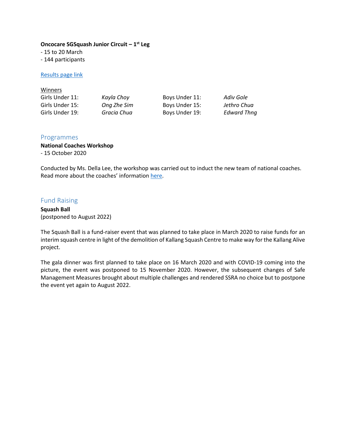#### **Oncocare SGSquash Junior Circuit – 1 st Leg**

- 15 to 20 March

- 144 participants

#### [Results page](https://www.tournamentsoftware.com/sport/tournament?id=BD8823A4-5FA9-45AC-82B0-0FD40DB6C0D6) link

| <b>Winners</b>  |             |                |                    |
|-----------------|-------------|----------------|--------------------|
| Girls Under 11: | Kayla Choy  | Boys Under 11: | Adiv Gole          |
| Girls Under 15: | Ong Zhe Sim | Boys Under 15: | Jethro Chua        |
| Girls Under 19: | Gracia Chua | Boys Under 19: | <b>Edward Thng</b> |

#### Programmes

## **National Coaches Workshop**

- 15 October 2020

Conducted by Ms. Della Lee, the workshop was carried out to induct the new team of national coaches. Read more about the coaches' informatio[n here.](https://www.sgsquash.com/ssra-events/2021/singapore-beefs-up-their-coaching-team-with-three-ex-internationals-and-a-physical-trainer/)

## Fund Raising

**Squash Ball** (postponed to August 2022)

The Squash Ball is a fund-raiser event that was planned to take place in March 2020 to raise funds for an interim squash centre in light of the demolition of Kallang Squash Centre to make way for the Kallang Alive project.

The gala dinner was first planned to take place on 16 March 2020 and with COVID-19 coming into the picture, the event was postponed to 15 November 2020. However, the subsequent changes of Safe Management Measures brought about multiple challenges and rendered SSRA no choice but to postpone the event yet again to August 2022.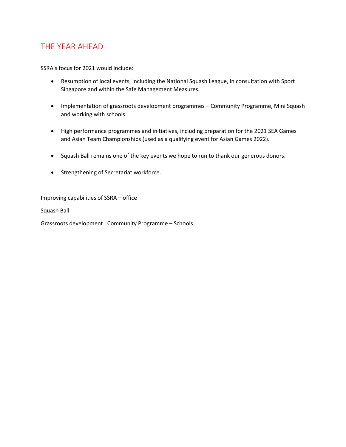## THE YEAR AHEAD

SSRA's focus for 2021 would include:

- Resumption of local events, including the National Squash League, in consultation with Sport Singapore and within the Safe Management Measures.
- Implementation of grassroots development programmes Community Programme, Mini Squash and working with schools.
- High performance programmes and initiatives, including preparation for the 2021 SEA Games and Asian Team Championships (used as a qualifying event for Asian Games 2022).
- Squash Ball remains one of the key events we hope to run to thank our generous donors.
- **•** Strengthening of Secretariat workforce.

Improving capabilities of SSRA – office

Squash Ball

Grassroots development : Community Programme – Schools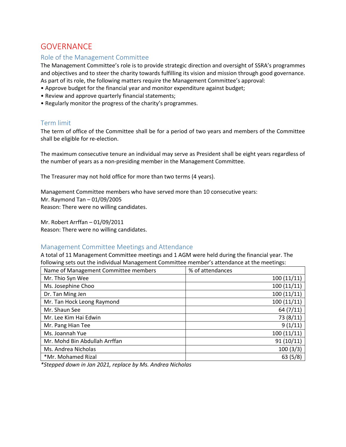## **GOVERNANCE**

## Role of the Management Committee

The Management Committee's role is to provide strategic direction and oversight of SSRA's programmes and objectives and to steer the charity towards fulfilling its vision and mission through good governance. As part of its role, the following matters require the Management Committee's approval:

- Approve budget for the financial year and monitor expenditure against budget;
- Review and approve quarterly financial statements;
- Regularly monitor the progress of the charity's programmes.

### Term limit

The term of office of the Committee shall be for a period of two years and members of the Committee shall be eligible for re-election.

The maximum consecutive tenure an individual may serve as President shall be eight years regardless of the number of years as a non-presiding member in the Management Committee.

The Treasurer may not hold office for more than two terms (4 years).

Management Committee members who have served more than 10 consecutive years: Mr. Raymond Tan – 01/09/2005 Reason: There were no willing candidates.

Mr. Robert Arrffan – 01/09/2011 Reason: There were no willing candidates.

### Management Committee Meetings and Attendance

A total of 11 Management Committee meetings and 1 AGM were held during the financial year. The following sets out the individual Management Committee member's attendance at the meetings:

| Name of Management Committee members | % of attendances |
|--------------------------------------|------------------|
| Mr. Thio Syn Wee                     | 100(11/11)       |
| Ms. Josephine Choo                   | 100(11/11)       |
| Dr. Tan Ming Jen                     | 100(11/11)       |
| Mr. Tan Hock Leong Raymond           | 100(11/11)       |
| Mr. Shaun See                        | 64(7/11)         |
| Mr. Lee Kim Hai Edwin                | 73 (8/11)        |
| Mr. Pang Hian Tee                    | 9(1/11)          |
| Ms. Joannah Yue                      | 100(11/11)       |
| Mr. Mohd Bin Abdullah Arrffan        | 91(10/11)        |
| Ms. Andrea Nicholas                  | 100(3/3)         |
| *Mr. Mohamed Rizal                   | 63(5/8)          |

*\*Stepped down in Jan 2021, replace by Ms. Andrea Nicholas*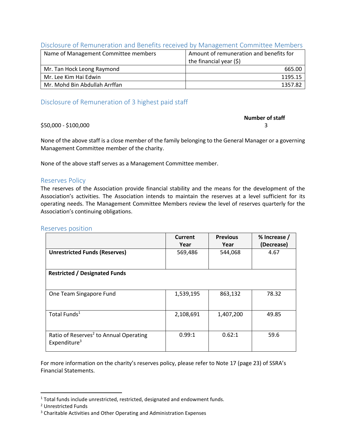### Disclosure of Remuneration and Benefits received by Management Committee Members

| Name of Management Committee members | Amount of remuneration and benefits for |  |
|--------------------------------------|-----------------------------------------|--|
|                                      | the financial year $(5)$                |  |
| Mr. Tan Hock Leong Raymond           | 665.00                                  |  |
| Mr. Lee Kim Hai Edwin                | 1195.15                                 |  |
| Mr. Mohd Bin Abdullah Arrffan        | 1357.82                                 |  |

## Disclosure of Remuneration of 3 highest paid staff

# **Number of staff**

#### \$50,000 - \$100,000 3

None of the above staff is a close member of the family belonging to the General Manager or a governing Management Committee member of the charity.

None of the above staff serves as a Management Committee member.

#### Reserves Policy

The reserves of the Association provide financial stability and the means for the development of the Association's activities. The Association intends to maintain the reserves at a level sufficient for its operating needs. The Management Committee Members review the level of reserves quarterly for the Association's continuing obligations.

#### Reserves position

|                                                                                | Current<br>Year | <b>Previous</b><br>Year | % Increase /<br>(Decrease) |
|--------------------------------------------------------------------------------|-----------------|-------------------------|----------------------------|
| <b>Unrestricted Funds (Reserves)</b>                                           | 569,486         | 544,068                 | 4.67                       |
| <b>Restricted / Designated Funds</b>                                           |                 |                         |                            |
| One Team Singapore Fund                                                        | 1,539,195       | 863,132                 | 78.32                      |
| Total Funds <sup>1</sup>                                                       | 2,108,691       | 1,407,200               | 49.85                      |
| Ratio of Reserves <sup>2</sup> to Annual Operating<br>Expenditure <sup>3</sup> | 0.99:1          | 0.62:1                  | 59.6                       |

For more information on the charity's reserves policy, please refer to Note 17 (page 23) of SSRA's Financial Statements.

 $\overline{\phantom{a}}$ 

<sup>&</sup>lt;sup>1</sup> Total funds include unrestricted, restricted, designated and endowment funds.

<sup>2</sup> Unrestricted Funds

<sup>&</sup>lt;sup>3</sup> Charitable Activities and Other Operating and Administration Expenses